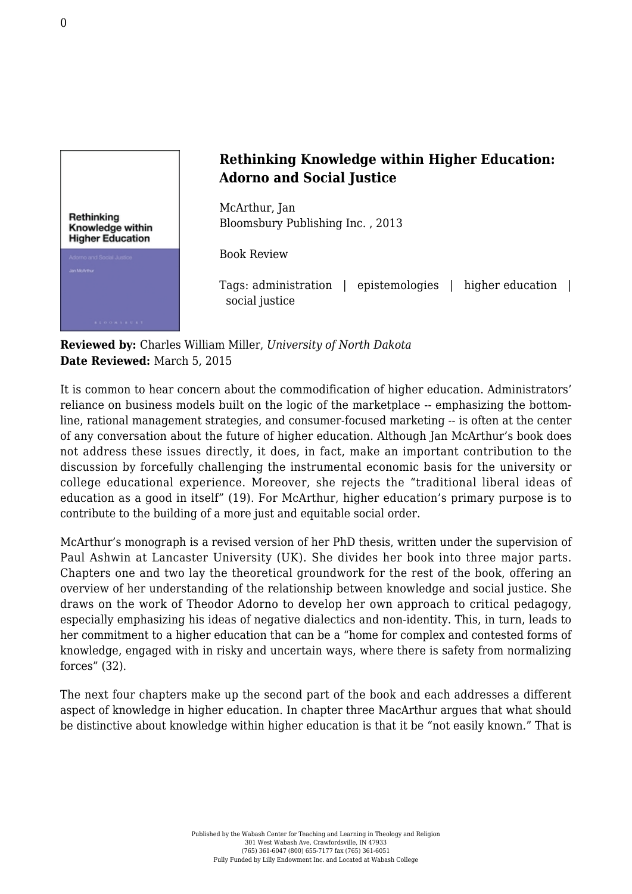

## **Rethinking Knowledge within Higher Education: Adorno and Social Justice**

McArthur, Jan [Bloomsbury Publishing Inc. , 2013](http://www.bloomsbury.com/us/rethinking-knowledge-within-higher-education-9781472576286/)

Book Review

Tags: administration | epistemologies | higher education | social justice

**Reviewed by:** Charles William Miller, *University of North Dakota* **Date Reviewed:** March 5, 2015

It is common to hear concern about the commodification of higher education. Administrators' reliance on business models built on the logic of the marketplace -- emphasizing the bottomline, rational management strategies, and consumer-focused marketing -- is often at the center of any conversation about the future of higher education. Although Jan McArthur's book does not address these issues directly, it does, in fact, make an important contribution to the discussion by forcefully challenging the instrumental economic basis for the university or college educational experience. Moreover, she rejects the "traditional liberal ideas of education as a good in itself" (19). For McArthur, higher education's primary purpose is to contribute to the building of a more just and equitable social order.

McArthur's monograph is a revised version of her PhD thesis, written under the supervision of Paul Ashwin at Lancaster University (UK). She divides her book into three major parts. Chapters one and two lay the theoretical groundwork for the rest of the book, offering an overview of her understanding of the relationship between knowledge and social justice. She draws on the work of Theodor Adorno to develop her own approach to critical pedagogy, especially emphasizing his ideas of negative dialectics and non-identity. This, in turn, leads to her commitment to a higher education that can be a "home for complex and contested forms of knowledge, engaged with in risky and uncertain ways, where there is safety from normalizing forces" (32).

The next four chapters make up the second part of the book and each addresses a different aspect of knowledge in higher education. In chapter three MacArthur argues that what should be distinctive about knowledge within higher education is that it be "not easily known." That is